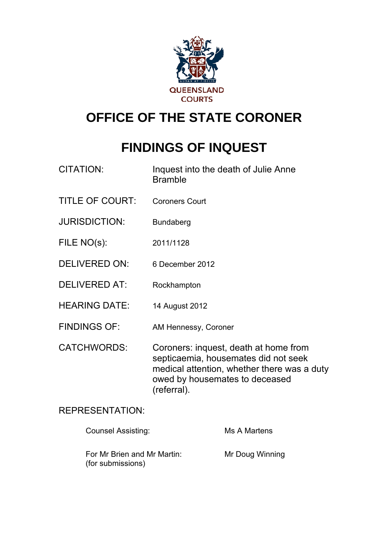

# **OFFICE OF THE STATE CORONER**

# **FINDINGS OF INQUEST**

| CITATION: | Inquest into the death of Julie Anne |
|-----------|--------------------------------------|
|           | <b>Bramble</b>                       |

- TITLE OF COURT: Coroners Court
- JURISDICTION: Bundaberg
- FILE NO(s): 2011/1128
- DELIVERED ON: 6 December 2012
- DELIVERED AT: Rockhampton
- HEARING DATE: 14 August 2012
- FINDINGS OF: AM Hennessy, Coroner
- CATCHWORDS: Coroners: inquest, death at home from septicaemia, housemates did not seek medical attention, whether there was a duty owed by housemates to deceased (referral).

# REPRESENTATION:

| <b>Counsel Assisting:</b>                        | Ms A Martens    |
|--------------------------------------------------|-----------------|
| For Mr Brien and Mr Martin:<br>(for submissions) | Mr Doug Winning |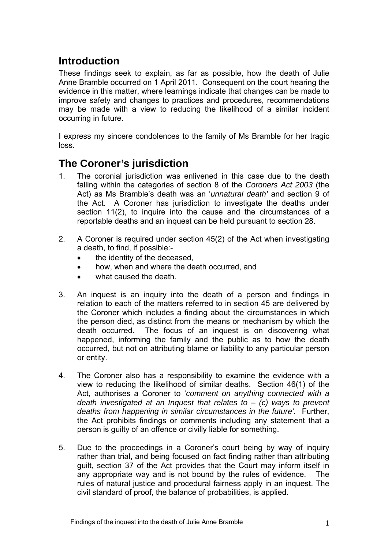# **Introduction**

These findings seek to explain, as far as possible, how the death of Julie Anne Bramble occurred on 1 April 2011. Consequent on the court hearing the evidence in this matter, where learnings indicate that changes can be made to improve safety and changes to practices and procedures, recommendations may be made with a view to reducing the likelihood of a similar incident occurring in future.

I express my sincere condolences to the family of Ms Bramble for her tragic loss.

# **The Coroner's jurisdiction**

- 1. The coronial jurisdiction was enlivened in this case due to the death falling within the categories of section 8 of the *Coroners Act 2003* (the Act) as Ms Bramble's death was an '*unnatural death'* and section 9 of the Act. A Coroner has jurisdiction to investigate the deaths under section 11(2), to inquire into the cause and the circumstances of a reportable deaths and an inquest can be held pursuant to section 28.
- 2. A Coroner is required under section 45(2) of the Act when investigating a death, to find, if possible:
	- the identity of the deceased.
	- how, when and where the death occurred, and
	- what caused the death.
- 3. An inquest is an inquiry into the death of a person and findings in relation to each of the matters referred to in section 45 are delivered by the Coroner which includes a finding about the circumstances in which the person died, as distinct from the means or mechanism by which the death occurred. The focus of an inquest is on discovering what happened, informing the family and the public as to how the death occurred, but not on attributing blame or liability to any particular person or entity.
- 4. The Coroner also has a responsibility to examine the evidence with a view to reducing the likelihood of similar deaths. Section 46(1) of the Act, authorises a Coroner to '*comment on anything connected with a death investigated at an Inquest that relates to* – *(c) ways to prevent deaths from happening in similar circumstances in the future'.* Further, the Act prohibits findings or comments including any statement that a person is guilty of an offence or civilly liable for something.
- 5. Due to the proceedings in a Coroner's court being by way of inquiry rather than trial, and being focused on fact finding rather than attributing guilt, section 37 of the Act provides that the Court may inform itself in any appropriate way and is not bound by the rules of evidence. The rules of natural justice and procedural fairness apply in an inquest. The civil standard of proof, the balance of probabilities, is applied.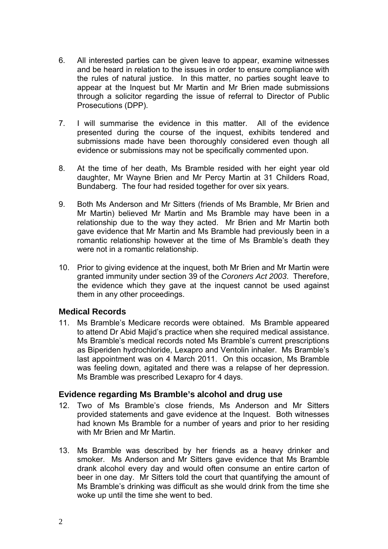- 6. All interested parties can be given leave to appear, examine witnesses and be heard in relation to the issues in order to ensure compliance with the rules of natural justice. In this matter, no parties sought leave to appear at the Inquest but Mr Martin and Mr Brien made submissions through a solicitor regarding the issue of referral to Director of Public Prosecutions (DPP).
- 7. I will summarise the evidence in this matter. All of the evidence presented during the course of the inquest, exhibits tendered and submissions made have been thoroughly considered even though all evidence or submissions may not be specifically commented upon.
- 8. At the time of her death, Ms Bramble resided with her eight year old daughter, Mr Wayne Brien and Mr Percy Martin at 31 Childers Road, Bundaberg. The four had resided together for over six years.
- 9. Both Ms Anderson and Mr Sitters (friends of Ms Bramble, Mr Brien and Mr Martin) believed Mr Martin and Ms Bramble may have been in a relationship due to the way they acted. Mr Brien and Mr Martin both gave evidence that Mr Martin and Ms Bramble had previously been in a romantic relationship however at the time of Ms Bramble's death they were not in a romantic relationship.
- 10. Prior to giving evidence at the inquest, both Mr Brien and Mr Martin were granted immunity under section 39 of the *Coroners Act 2003*. Therefore, the evidence which they gave at the inquest cannot be used against them in any other proceedings.

# **Medical Records**

11. Ms Bramble's Medicare records were obtained. Ms Bramble appeared to attend Dr Abid Majid's practice when she required medical assistance. Ms Bramble's medical records noted Ms Bramble's current prescriptions as Biperiden hydrochloride, Lexapro and Ventolin inhaler. Ms Bramble's last appointment was on 4 March 2011. On this occasion, Ms Bramble was feeling down, agitated and there was a relapse of her depression. Ms Bramble was prescribed Lexapro for 4 days.

# **Evidence regarding Ms Bramble's alcohol and drug use**

- 12. Two of Ms Bramble's close friends, Ms Anderson and Mr Sitters provided statements and gave evidence at the Inquest. Both witnesses had known Ms Bramble for a number of years and prior to her residing with Mr Brien and Mr Martin
- 13. Ms Bramble was described by her friends as a heavy drinker and smoker. Ms Anderson and Mr Sitters gave evidence that Ms Bramble drank alcohol every day and would often consume an entire carton of beer in one day. Mr Sitters told the court that quantifying the amount of Ms Bramble's drinking was difficult as she would drink from the time she woke up until the time she went to bed.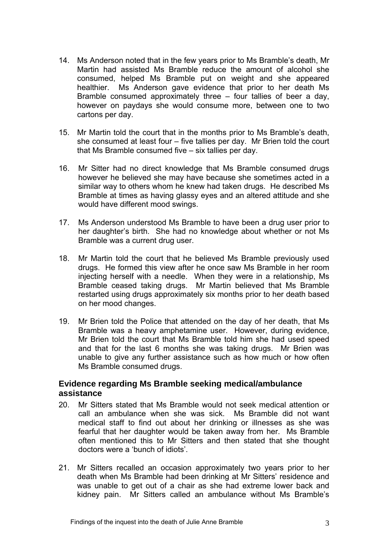- 14. Ms Anderson noted that in the few years prior to Ms Bramble's death, Mr Martin had assisted Ms Bramble reduce the amount of alcohol she consumed, helped Ms Bramble put on weight and she appeared healthier. Ms Anderson gave evidence that prior to her death Ms Bramble consumed approximately three – four tallies of beer a day, however on paydays she would consume more, between one to two cartons per day.
- 15. Mr Martin told the court that in the months prior to Ms Bramble's death, she consumed at least four – five tallies per day. Mr Brien told the court that Ms Bramble consumed five – six tallies per day.
- 16. Mr Sitter had no direct knowledge that Ms Bramble consumed drugs however he believed she may have because she sometimes acted in a similar way to others whom he knew had taken drugs. He described Ms Bramble at times as having glassy eyes and an altered attitude and she would have different mood swings.
- 17. Ms Anderson understood Ms Bramble to have been a drug user prior to her daughter's birth. She had no knowledge about whether or not Ms Bramble was a current drug user.
- 18. Mr Martin told the court that he believed Ms Bramble previously used drugs. He formed this view after he once saw Ms Bramble in her room injecting herself with a needle. When they were in a relationship, Ms Bramble ceased taking drugs. Mr Martin believed that Ms Bramble restarted using drugs approximately six months prior to her death based on her mood changes.
- 19. Mr Brien told the Police that attended on the day of her death, that Ms Bramble was a heavy amphetamine user. However, during evidence, Mr Brien told the court that Ms Bramble told him she had used speed and that for the last 6 months she was taking drugs. Mr Brien was unable to give any further assistance such as how much or how often Ms Bramble consumed drugs.

# **Evidence regarding Ms Bramble seeking medical/ambulance assistance**

- 20. Mr Sitters stated that Ms Bramble would not seek medical attention or call an ambulance when she was sick. Ms Bramble did not want medical staff to find out about her drinking or illnesses as she was fearful that her daughter would be taken away from her. Ms Bramble often mentioned this to Mr Sitters and then stated that she thought doctors were a 'bunch of idiots'.
- 21. Mr Sitters recalled an occasion approximately two years prior to her death when Ms Bramble had been drinking at Mr Sitters' residence and was unable to get out of a chair as she had extreme lower back and kidney pain. Mr Sitters called an ambulance without Ms Bramble's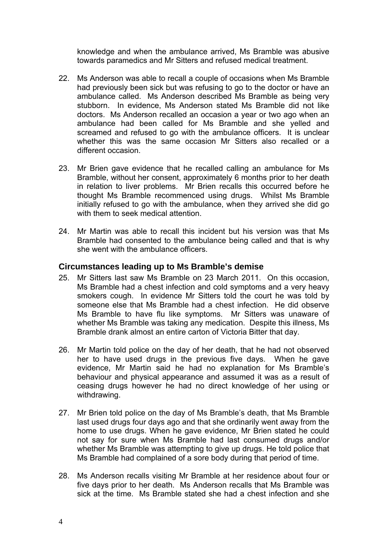knowledge and when the ambulance arrived, Ms Bramble was abusive towards paramedics and Mr Sitters and refused medical treatment.

- 22. Ms Anderson was able to recall a couple of occasions when Ms Bramble had previously been sick but was refusing to go to the doctor or have an ambulance called. Ms Anderson described Ms Bramble as being very stubborn. In evidence, Ms Anderson stated Ms Bramble did not like doctors. Ms Anderson recalled an occasion a year or two ago when an ambulance had been called for Ms Bramble and she yelled and screamed and refused to go with the ambulance officers. It is unclear whether this was the same occasion Mr Sitters also recalled or a different occasion.
- 23. Mr Brien gave evidence that he recalled calling an ambulance for Ms Bramble, without her consent, approximately 6 months prior to her death in relation to liver problems. Mr Brien recalls this occurred before he thought Ms Bramble recommenced using drugs. Whilst Ms Bramble initially refused to go with the ambulance, when they arrived she did go with them to seek medical attention.
- 24. Mr Martin was able to recall this incident but his version was that Ms Bramble had consented to the ambulance being called and that is why she went with the ambulance officers.

#### **Circumstances leading up to Ms Bramble's demise**

- 25. Mr Sitters last saw Ms Bramble on 23 March 2011. On this occasion, Ms Bramble had a chest infection and cold symptoms and a very heavy smokers cough. In evidence Mr Sitters told the court he was told by someone else that Ms Bramble had a chest infection. He did observe Ms Bramble to have flu like symptoms. Mr Sitters was unaware of whether Ms Bramble was taking any medication. Despite this illness, Ms Bramble drank almost an entire carton of Victoria Bitter that day.
- 26. Mr Martin told police on the day of her death, that he had not observed her to have used drugs in the previous five days. When he gave evidence, Mr Martin said he had no explanation for Ms Bramble's behaviour and physical appearance and assumed it was as a result of ceasing drugs however he had no direct knowledge of her using or withdrawing.
- 27. Mr Brien told police on the day of Ms Bramble's death, that Ms Bramble last used drugs four days ago and that she ordinarily went away from the home to use drugs. When he gave evidence, Mr Brien stated he could not say for sure when Ms Bramble had last consumed drugs and/or whether Ms Bramble was attempting to give up drugs. He told police that Ms Bramble had complained of a sore body during that period of time.
- 28. Ms Anderson recalls visiting Mr Bramble at her residence about four or five days prior to her death. Ms Anderson recalls that Ms Bramble was sick at the time. Ms Bramble stated she had a chest infection and she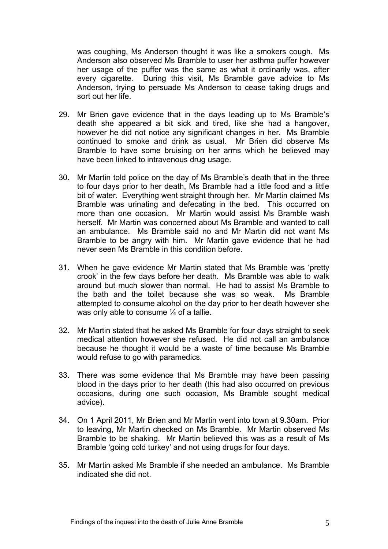was coughing, Ms Anderson thought it was like a smokers cough. Ms Anderson also observed Ms Bramble to user her asthma puffer however her usage of the puffer was the same as what it ordinarily was, after every cigarette. During this visit, Ms Bramble gave advice to Ms Anderson, trying to persuade Ms Anderson to cease taking drugs and sort out her life.

- 29. Mr Brien gave evidence that in the days leading up to Ms Bramble's death she appeared a bit sick and tired, like she had a hangover, however he did not notice any significant changes in her. Ms Bramble continued to smoke and drink as usual. Mr Brien did observe Ms Bramble to have some bruising on her arms which he believed may have been linked to intravenous drug usage.
- 30. Mr Martin told police on the day of Ms Bramble's death that in the three to four days prior to her death, Ms Bramble had a little food and a little bit of water. Everything went straight through her. Mr Martin claimed Ms Bramble was urinating and defecating in the bed. This occurred on more than one occasion. Mr Martin would assist Ms Bramble wash herself. Mr Martin was concerned about Ms Bramble and wanted to call an ambulance. Ms Bramble said no and Mr Martin did not want Ms Bramble to be angry with him. Mr Martin gave evidence that he had never seen Ms Bramble in this condition before.
- 31. When he gave evidence Mr Martin stated that Ms Bramble was 'pretty crook' in the few days before her death. Ms Bramble was able to walk around but much slower than normal. He had to assist Ms Bramble to the bath and the toilet because she was so weak. Ms Bramble attempted to consume alcohol on the day prior to her death however she was only able to consume 1/4 of a tallie.
- 32. Mr Martin stated that he asked Ms Bramble for four days straight to seek medical attention however she refused. He did not call an ambulance because he thought it would be a waste of time because Ms Bramble would refuse to go with paramedics.
- 33. There was some evidence that Ms Bramble may have been passing blood in the days prior to her death (this had also occurred on previous occasions, during one such occasion, Ms Bramble sought medical advice).
- 34. On 1 April 2011, Mr Brien and Mr Martin went into town at 9.30am. Prior to leaving, Mr Martin checked on Ms Bramble. Mr Martin observed Ms Bramble to be shaking. Mr Martin believed this was as a result of Ms Bramble 'going cold turkey' and not using drugs for four days.
- 35. Mr Martin asked Ms Bramble if she needed an ambulance. Ms Bramble indicated she did not.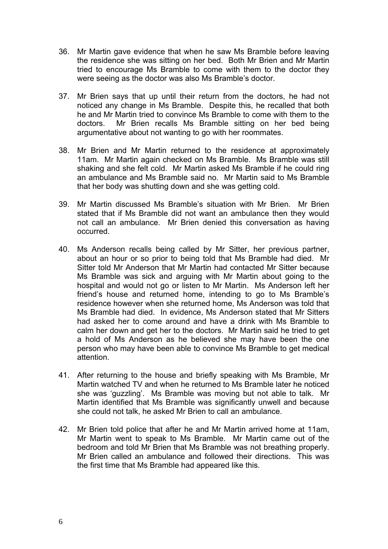- 36. Mr Martin gave evidence that when he saw Ms Bramble before leaving the residence she was sitting on her bed. Both Mr Brien and Mr Martin tried to encourage Ms Bramble to come with them to the doctor they were seeing as the doctor was also Ms Bramble's doctor.
- 37. Mr Brien says that up until their return from the doctors, he had not noticed any change in Ms Bramble. Despite this, he recalled that both he and Mr Martin tried to convince Ms Bramble to come with them to the doctors. Mr Brien recalls Ms Bramble sitting on her bed being argumentative about not wanting to go with her roommates.
- 38. Mr Brien and Mr Martin returned to the residence at approximately 11am. Mr Martin again checked on Ms Bramble. Ms Bramble was still shaking and she felt cold. Mr Martin asked Ms Bramble if he could ring an ambulance and Ms Bramble said no. Mr Martin said to Ms Bramble that her body was shutting down and she was getting cold.
- 39. Mr Martin discussed Ms Bramble's situation with Mr Brien. Mr Brien stated that if Ms Bramble did not want an ambulance then they would not call an ambulance. Mr Brien denied this conversation as having occurred.
- 40. Ms Anderson recalls being called by Mr Sitter, her previous partner, about an hour or so prior to being told that Ms Bramble had died. Mr Sitter told Mr Anderson that Mr Martin had contacted Mr Sitter because Ms Bramble was sick and arguing with Mr Martin about going to the hospital and would not go or listen to Mr Martin. Ms Anderson left her friend's house and returned home, intending to go to Ms Bramble's residence however when she returned home, Ms Anderson was told that Ms Bramble had died. In evidence, Ms Anderson stated that Mr Sitters had asked her to come around and have a drink with Ms Bramble to calm her down and get her to the doctors. Mr Martin said he tried to get a hold of Ms Anderson as he believed she may have been the one person who may have been able to convince Ms Bramble to get medical attention.
- 41. After returning to the house and briefly speaking with Ms Bramble, Mr Martin watched TV and when he returned to Ms Bramble later he noticed she was 'guzzling'. Ms Bramble was moving but not able to talk. Mr Martin identified that Ms Bramble was significantly unwell and because she could not talk, he asked Mr Brien to call an ambulance.
- 42. Mr Brien told police that after he and Mr Martin arrived home at 11am, Mr Martin went to speak to Ms Bramble. Mr Martin came out of the bedroom and told Mr Brien that Ms Bramble was not breathing properly. Mr Brien called an ambulance and followed their directions. This was the first time that Ms Bramble had appeared like this.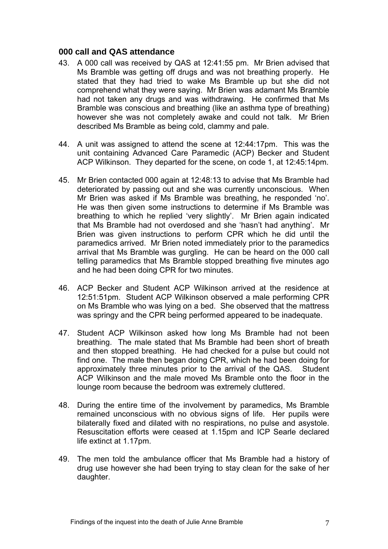#### **000 call and QAS attendance**

- 43. A 000 call was received by QAS at 12:41:55 pm. Mr Brien advised that Ms Bramble was getting off drugs and was not breathing properly. He stated that they had tried to wake Ms Bramble up but she did not comprehend what they were saying. Mr Brien was adamant Ms Bramble had not taken any drugs and was withdrawing. He confirmed that Ms Bramble was conscious and breathing (like an asthma type of breathing) however she was not completely awake and could not talk. Mr Brien described Ms Bramble as being cold, clammy and pale.
- 44. A unit was assigned to attend the scene at 12:44:17pm. This was the unit containing Advanced Care Paramedic (ACP) Becker and Student ACP Wilkinson. They departed for the scene, on code 1, at 12:45:14pm.
- 45. Mr Brien contacted 000 again at 12:48:13 to advise that Ms Bramble had deteriorated by passing out and she was currently unconscious. When Mr Brien was asked if Ms Bramble was breathing, he responded 'no'. He was then given some instructions to determine if Ms Bramble was breathing to which he replied 'very slightly'. Mr Brien again indicated that Ms Bramble had not overdosed and she 'hasn't had anything'. Mr Brien was given instructions to perform CPR which he did until the paramedics arrived. Mr Brien noted immediately prior to the paramedics arrival that Ms Bramble was gurgling. He can be heard on the 000 call telling paramedics that Ms Bramble stopped breathing five minutes ago and he had been doing CPR for two minutes.
- 46. ACP Becker and Student ACP Wilkinson arrived at the residence at 12:51:51pm. Student ACP Wilkinson observed a male performing CPR on Ms Bramble who was lying on a bed. She observed that the mattress was springy and the CPR being performed appeared to be inadequate.
- 47. Student ACP Wilkinson asked how long Ms Bramble had not been breathing. The male stated that Ms Bramble had been short of breath and then stopped breathing. He had checked for a pulse but could not find one. The male then began doing CPR, which he had been doing for approximately three minutes prior to the arrival of the QAS. Student ACP Wilkinson and the male moved Ms Bramble onto the floor in the lounge room because the bedroom was extremely cluttered.
- 48. During the entire time of the involvement by paramedics, Ms Bramble remained unconscious with no obvious signs of life. Her pupils were bilaterally fixed and dilated with no respirations, no pulse and asystole. Resuscitation efforts were ceased at 1.15pm and ICP Searle declared life extinct at 1.17pm.
- 49. The men told the ambulance officer that Ms Bramble had a history of drug use however she had been trying to stay clean for the sake of her daughter.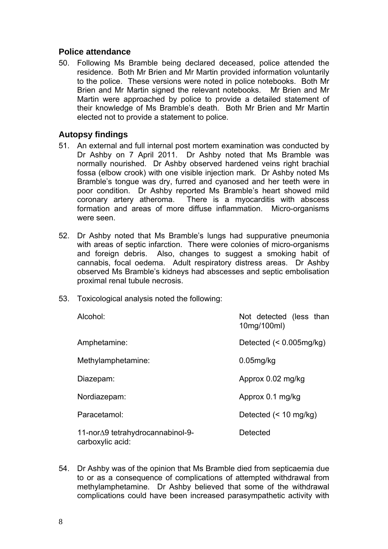### **Police attendance**

50. Following Ms Bramble being declared deceased, police attended the residence. Both Mr Brien and Mr Martin provided information voluntarily to the police. These versions were noted in police notebooks. Both Mr Brien and Mr Martin signed the relevant notebooks. Mr Brien and Mr Martin were approached by police to provide a detailed statement of their knowledge of Ms Bramble's death. Both Mr Brien and Mr Martin elected not to provide a statement to police.

### **Autopsy findings**

- 51. An external and full internal post mortem examination was conducted by Dr Ashby on 7 April 2011. Dr Ashby noted that Ms Bramble was normally nourished. Dr Ashby observed hardened veins right brachial fossa (elbow crook) with one visible injection mark. Dr Ashby noted Ms Bramble's tongue was dry, furred and cyanosed and her teeth were in poor condition. Dr Ashby reported Ms Bramble's heart showed mild coronary artery atheroma. There is a myocarditis with abscess formation and areas of more diffuse inflammation. Micro-organisms were seen.
- 52. Dr Ashby noted that Ms Bramble's lungs had suppurative pneumonia with areas of septic infarction. There were colonies of micro-organisms and foreign debris. Also, changes to suggest a smoking habit of cannabis, focal oedema. Adult respiratory distress areas. Dr Ashby observed Ms Bramble's kidneys had abscesses and septic embolisation proximal renal tubule necrosis.
- 53. Toxicological analysis noted the following:

| Alcohol:                                             | Not detected (less than<br>10mg/100ml) |
|------------------------------------------------------|----------------------------------------|
| Amphetamine:                                         | Detected $(< 0.005 \text{mg/kg})$      |
| Methylamphetamine:                                   | $0.05$ mg/kg                           |
| Diazepam:                                            | Approx 0.02 mg/kg                      |
| Nordiazepam:                                         | Approx 0.1 mg/kg                       |
| Paracetamol:                                         | Detected $(< 10$ mg/kg)                |
| 11-nor∆9 tetrahydrocannabinol-9-<br>carboxylic acid: | Detected                               |

54. Dr Ashby was of the opinion that Ms Bramble died from septicaemia due to or as a consequence of complications of attempted withdrawal from methylamphetamine. Dr Ashby believed that some of the withdrawal complications could have been increased parasympathetic activity with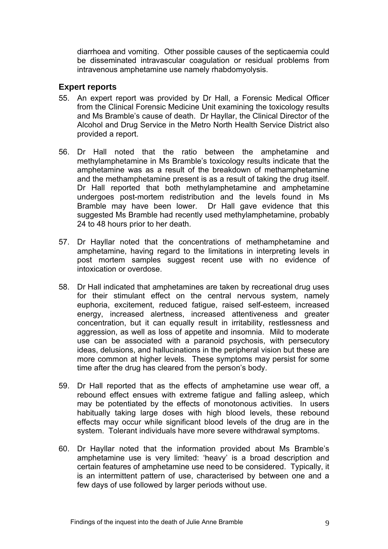diarrhoea and vomiting. Other possible causes of the septicaemia could be disseminated intravascular coagulation or residual problems from intravenous amphetamine use namely rhabdomyolysis.

#### **Expert reports**

- 55. An expert report was provided by Dr Hall, a Forensic Medical Officer from the Clinical Forensic Medicine Unit examining the toxicology results and Ms Bramble's cause of death. Dr Hayllar, the Clinical Director of the Alcohol and Drug Service in the Metro North Health Service District also provided a report.
- 56. Dr Hall noted that the ratio between the amphetamine and methylamphetamine in Ms Bramble's toxicology results indicate that the amphetamine was as a result of the breakdown of methamphetamine and the methamphetamine present is as a result of taking the drug itself. Dr Hall reported that both methylamphetamine and amphetamine undergoes post-mortem redistribution and the levels found in Ms Bramble may have been lower. Dr Hall gave evidence that this suggested Ms Bramble had recently used methylamphetamine, probably 24 to 48 hours prior to her death.
- 57. Dr Hayllar noted that the concentrations of methamphetamine and amphetamine, having regard to the limitations in interpreting levels in post mortem samples suggest recent use with no evidence of intoxication or overdose.
- 58. Dr Hall indicated that amphetamines are taken by recreational drug uses for their stimulant effect on the central nervous system, namely euphoria, excitement, reduced fatigue, raised self-esteem, increased energy, increased alertness, increased attentiveness and greater concentration, but it can equally result in irritability, restlessness and aggression, as well as loss of appetite and insomnia. Mild to moderate use can be associated with a paranoid psychosis, with persecutory ideas, delusions, and hallucinations in the peripheral vision but these are more common at higher levels. These symptoms may persist for some time after the drug has cleared from the person's body.
- 59. Dr Hall reported that as the effects of amphetamine use wear off, a rebound effect ensues with extreme fatigue and falling asleep, which may be potentiated by the effects of monotonous activities. In users habitually taking large doses with high blood levels, these rebound effects may occur while significant blood levels of the drug are in the system. Tolerant individuals have more severe withdrawal symptoms.
- 60. Dr Hayllar noted that the information provided about Ms Bramble's amphetamine use is very limited: 'heavy' is a broad description and certain features of amphetamine use need to be considered. Typically, it is an intermittent pattern of use, characterised by between one and a few days of use followed by larger periods without use.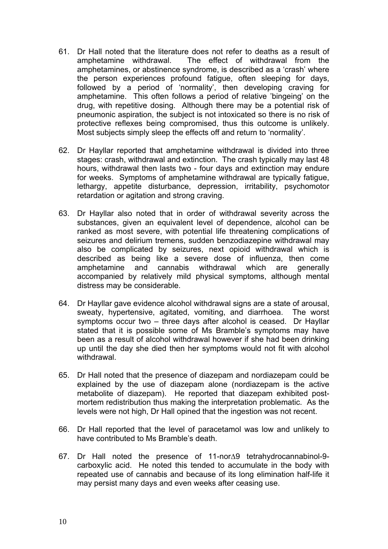- 61. Dr Hall noted that the literature does not refer to deaths as a result of amphetamine withdrawal. The effect of withdrawal from the amphetamines, or abstinence syndrome, is described as a 'crash' where the person experiences profound fatigue, often sleeping for days, followed by a period of 'normality', then developing craving for amphetamine. This often follows a period of relative 'bingeing' on the drug, with repetitive dosing. Although there may be a potential risk of pneumonic aspiration, the subject is not intoxicated so there is no risk of protective reflexes being compromised, thus this outcome is unlikely. Most subjects simply sleep the effects off and return to 'normality'.
- 62. Dr Hayllar reported that amphetamine withdrawal is divided into three stages: crash, withdrawal and extinction. The crash typically may last 48 hours, withdrawal then lasts two - four days and extinction may endure for weeks. Symptoms of amphetamine withdrawal are typically fatigue, lethargy, appetite disturbance, depression, irritability, psychomotor retardation or agitation and strong craving.
- 63. Dr Hayllar also noted that in order of withdrawal severity across the substances, given an equivalent level of dependence, alcohol can be ranked as most severe, with potential life threatening complications of seizures and delirium tremens, sudden benzodiazepine withdrawal may also be complicated by seizures, next opioid withdrawal which is described as being like a severe dose of influenza, then come amphetamine and cannabis withdrawal which are generally accompanied by relatively mild physical symptoms, although mental distress may be considerable.
- 64. Dr Hayllar gave evidence alcohol withdrawal signs are a state of arousal, sweaty, hypertensive, agitated, vomiting, and diarrhoea. The worst symptoms occur two – three days after alcohol is ceased. Dr Hayllar stated that it is possible some of Ms Bramble's symptoms may have been as a result of alcohol withdrawal however if she had been drinking up until the day she died then her symptoms would not fit with alcohol withdrawal.
- 65. Dr Hall noted that the presence of diazepam and nordiazepam could be explained by the use of diazepam alone (nordiazepam is the active metabolite of diazepam). He reported that diazepam exhibited postmortem redistribution thus making the interpretation problematic. As the levels were not high, Dr Hall opined that the ingestion was not recent.
- 66. Dr Hall reported that the level of paracetamol was low and unlikely to have contributed to Ms Bramble's death.
- 67. Dr Hall noted the presence of 11-nor∆9 tetrahydrocannabinol-9 carboxylic acid. He noted this tended to accumulate in the body with repeated use of cannabis and because of its long elimination half-life it may persist many days and even weeks after ceasing use.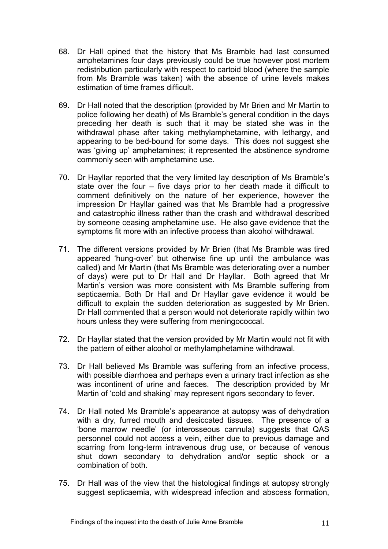- 68. Dr Hall opined that the history that Ms Bramble had last consumed amphetamines four days previously could be true however post mortem redistribution particularly with respect to cartoid blood (where the sample from Ms Bramble was taken) with the absence of urine levels makes estimation of time frames difficult.
- 69. Dr Hall noted that the description (provided by Mr Brien and Mr Martin to police following her death) of Ms Bramble's general condition in the days preceding her death is such that it may be stated she was in the withdrawal phase after taking methylamphetamine, with lethargy, and appearing to be bed-bound for some days. This does not suggest she was 'giving up' amphetamines; it represented the abstinence syndrome commonly seen with amphetamine use.
- 70. Dr Hayllar reported that the very limited lay description of Ms Bramble's state over the four – five days prior to her death made it difficult to comment definitively on the nature of her experience, however the impression Dr Hayllar gained was that Ms Bramble had a progressive and catastrophic illness rather than the crash and withdrawal described by someone ceasing amphetamine use. He also gave evidence that the symptoms fit more with an infective process than alcohol withdrawal.
- 71. The different versions provided by Mr Brien (that Ms Bramble was tired appeared 'hung-over' but otherwise fine up until the ambulance was called) and Mr Martin (that Ms Bramble was deteriorating over a number of days) were put to Dr Hall and Dr Hayllar. Both agreed that Mr Martin's version was more consistent with Ms Bramble suffering from septicaemia. Both Dr Hall and Dr Hayllar gave evidence it would be difficult to explain the sudden deterioration as suggested by Mr Brien. Dr Hall commented that a person would not deteriorate rapidly within two hours unless they were suffering from meningococcal.
- 72. Dr Hayllar stated that the version provided by Mr Martin would not fit with the pattern of either alcohol or methylamphetamine withdrawal.
- 73. Dr Hall believed Ms Bramble was suffering from an infective process, with possible diarrhoea and perhaps even a urinary tract infection as she was incontinent of urine and faeces. The description provided by Mr Martin of 'cold and shaking' may represent rigors secondary to fever.
- 74. Dr Hall noted Ms Bramble's appearance at autopsy was of dehydration with a dry, furred mouth and desiccated tissues. The presence of a 'bone marrow needle' (or interosseous cannula) suggests that QAS personnel could not access a vein, either due to previous damage and scarring from long-term intravenous drug use, or because of venous shut down secondary to dehydration and/or septic shock or a combination of both.
- 75. Dr Hall was of the view that the histological findings at autopsy strongly suggest septicaemia, with widespread infection and abscess formation,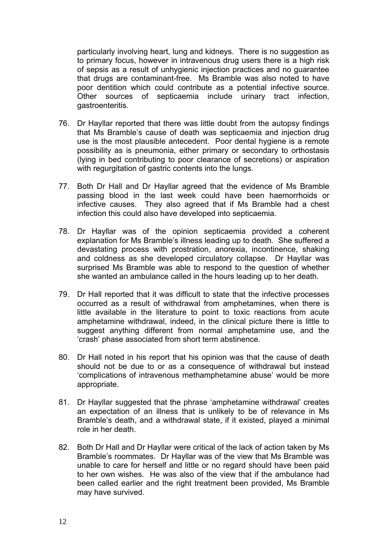particularly involving heart, lung and kidneys. There is no suggestion as to primary focus, however in intravenous drug users there is a high risk of sepsis as a result of unhygienic injection practices and no guarantee that drugs are contaminant-free. Ms Bramble was also noted to have poor dentition which could contribute as a potential infective source. Other sources of septicaemia include urinary tract infection, gastroenteritis.

- 76. Dr Hayllar reported that there was little doubt from the autopsy findings that Ms Bramble's cause of death was septicaemia and injection drug use is the most plausible antecedent. Poor dental hygiene is a remote possibility as is pneumonia, either primary or secondary to orthostasis (lying in bed contributing to poor clearance of secretions) or aspiration with regurgitation of gastric contents into the lungs.
- 77. Both Dr Hall and Dr Hayllar agreed that the evidence of Ms Bramble passing blood in the last week could have been haemorrhoids or infective causes. They also agreed that if Ms Bramble had a chest infection this could also have developed into septicaemia.
- 78. Dr Hayllar was of the opinion septicaemia provided a coherent explanation for Ms Bramble's illness leading up to death. She suffered a devastating process with prostration, anorexia, incontinence, shaking and coldness as she developed circulatory collapse. Dr Hayllar was surprised Ms Bramble was able to respond to the question of whether she wanted an ambulance called in the hours leading up to her death.
- 79. Dr Hall reported that it was difficult to state that the infective processes occurred as a result of withdrawal from amphetamines, when there is little available in the literature to point to toxic reactions from acute amphetamine withdrawal, indeed, in the clinical picture there is little to suggest anything different from normal amphetamine use, and the 'crash' phase associated from short term abstinence.
- 80. Dr Hall noted in his report that his opinion was that the cause of death should not be due to or as a consequence of withdrawal but instead 'complications of intravenous methamphetamine abuse' would be more appropriate.
- 81. Dr Hayllar suggested that the phrase 'amphetamine withdrawal' creates an expectation of an illness that is unlikely to be of relevance in Ms Bramble's death, and a withdrawal state, if it existed, played a minimal role in her death.
- 82. Both Dr Hall and Dr Hayllar were critical of the lack of action taken by Ms Bramble's roommates. Dr Hayllar was of the view that Ms Bramble was unable to care for herself and little or no regard should have been paid to her own wishes. He was also of the view that if the ambulance had been called earlier and the right treatment been provided, Ms Bramble may have survived.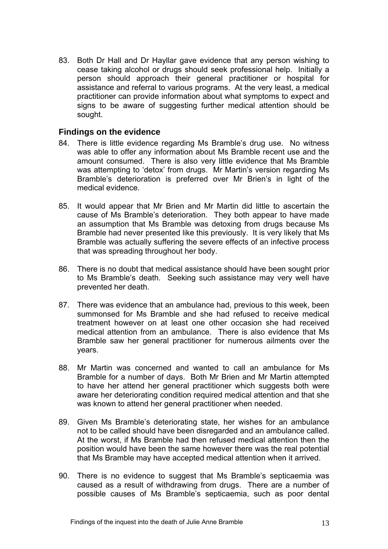83. Both Dr Hall and Dr Hayllar gave evidence that any person wishing to cease taking alcohol or drugs should seek professional help. Initially a person should approach their general practitioner or hospital for assistance and referral to various programs. At the very least, a medical practitioner can provide information about what symptoms to expect and signs to be aware of suggesting further medical attention should be sought.

#### **Findings on the evidence**

- 84. There is little evidence regarding Ms Bramble's drug use. No witness was able to offer any information about Ms Bramble recent use and the amount consumed. There is also very little evidence that Ms Bramble was attempting to 'detox' from drugs. Mr Martin's version regarding Ms Bramble's deterioration is preferred over Mr Brien's in light of the medical evidence.
- 85. It would appear that Mr Brien and Mr Martin did little to ascertain the cause of Ms Bramble's deterioration. They both appear to have made an assumption that Ms Bramble was detoxing from drugs because Ms Bramble had never presented like this previously. It is very likely that Ms Bramble was actually suffering the severe effects of an infective process that was spreading throughout her body.
- 86. There is no doubt that medical assistance should have been sought prior to Ms Bramble's death. Seeking such assistance may very well have prevented her death.
- 87. There was evidence that an ambulance had, previous to this week, been summonsed for Ms Bramble and she had refused to receive medical treatment however on at least one other occasion she had received medical attention from an ambulance. There is also evidence that Ms Bramble saw her general practitioner for numerous ailments over the years.
- 88. Mr Martin was concerned and wanted to call an ambulance for Ms Bramble for a number of days. Both Mr Brien and Mr Martin attempted to have her attend her general practitioner which suggests both were aware her deteriorating condition required medical attention and that she was known to attend her general practitioner when needed.
- 89. Given Ms Bramble's deteriorating state, her wishes for an ambulance not to be called should have been disregarded and an ambulance called. At the worst, if Ms Bramble had then refused medical attention then the position would have been the same however there was the real potential that Ms Bramble may have accepted medical attention when it arrived.
- 90. There is no evidence to suggest that Ms Bramble's septicaemia was caused as a result of withdrawing from drugs. There are a number of possible causes of Ms Bramble's septicaemia, such as poor dental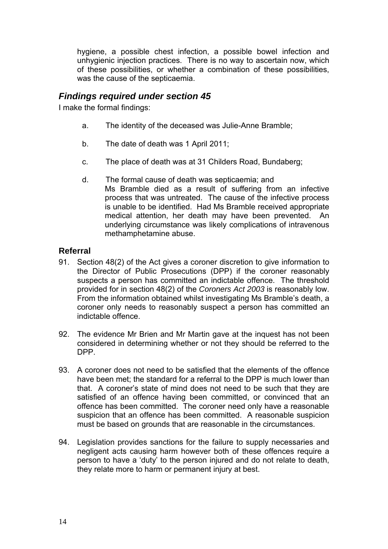hygiene, a possible chest infection, a possible bowel infection and unhygienic injection practices. There is no way to ascertain now, which of these possibilities, or whether a combination of these possibilities, was the cause of the septicaemia.

# *Findings required under section 45*

I make the formal findings:

- a. The identity of the deceased was Julie-Anne Bramble;
- b. The date of death was 1 April 2011;
- c. The place of death was at 31 Childers Road, Bundaberg;
- d. The formal cause of death was septicaemia; and Ms Bramble died as a result of suffering from an infective process that was untreated. The cause of the infective process is unable to be identified. Had Ms Bramble received appropriate medical attention, her death may have been prevented. An underlying circumstance was likely complications of intravenous methamphetamine abuse.

# **Referral**

- 91. Section 48(2) of the Act gives a coroner discretion to give information to the Director of Public Prosecutions (DPP) if the coroner reasonably suspects a person has committed an indictable offence. The threshold provided for in section 48(2) of the *Coroners Act 2003* is reasonably low. From the information obtained whilst investigating Ms Bramble's death, a coroner only needs to reasonably suspect a person has committed an indictable offence.
- 92. The evidence Mr Brien and Mr Martin gave at the inquest has not been considered in determining whether or not they should be referred to the DPP.
- 93. A coroner does not need to be satisfied that the elements of the offence have been met; the standard for a referral to the DPP is much lower than that. A coroner's state of mind does not need to be such that they are satisfied of an offence having been committed, or convinced that an offence has been committed. The coroner need only have a reasonable suspicion that an offence has been committed. A reasonable suspicion must be based on grounds that are reasonable in the circumstances.
- 94. Legislation provides sanctions for the failure to supply necessaries and negligent acts causing harm however both of these offences require a person to have a 'duty' to the person injured and do not relate to death, they relate more to harm or permanent injury at best.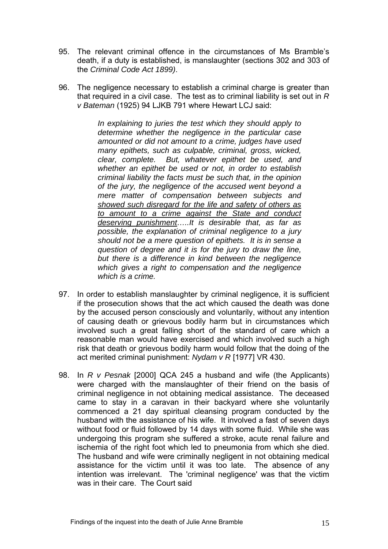- 95. The relevant criminal offence in the circumstances of Ms Bramble's death, if a duty is established, is manslaughter (sections 302 and 303 of the *Criminal Code Act 1899)*.
- 96. The negligence necessary to establish a criminal charge is greater than that required in a civil case. The test as to criminal liability is set out in *R v Bateman* (1925) 94 LJKB 791 where Hewart LCJ said:

*In explaining to juries the test which they should apply to determine whether the negligence in the particular case amounted or did not amount to a crime, judges have used many epithets, such as culpable, criminal, gross, wicked, clear, complete. But, whatever epithet be used, and whether an epithet be used or not, in order to establish criminal liability the facts must be such that, in the opinion of the jury, the negligence of the accused went beyond a mere matter of compensation between subjects and showed such disregard for the life and safety of others as to amount to a crime against the State and conduct deserving punishment…..It is desirable that, as far as possible, the explanation of criminal negligence to a jury should not be a mere question of epithets. It is in sense a question of degree and it is for the jury to draw the line, but there is a difference in kind between the negligence which gives a right to compensation and the negligence which is a crime.* 

- 97. In order to establish manslaughter by criminal negligence, it is sufficient if the prosecution shows that the act which caused the death was done by the accused person consciously and voluntarily, without any intention of causing death or grievous bodily harm but in circumstances which involved such a great falling short of the standard of care which a reasonable man would have exercised and which involved such a high risk that death or grievous bodily harm would follow that the doing of the act merited criminal punishment: *Nydam v R* [1977] VR 430.
- 98. In *R v Pesnak* [2000] QCA 245 a husband and wife (the Applicants) were charged with the manslaughter of their friend on the basis of criminal negligence in not obtaining medical assistance. The deceased came to stay in a caravan in their backyard where she voluntarily commenced a 21 day spiritual cleansing program conducted by the husband with the assistance of his wife. It involved a fast of seven days without food or fluid followed by 14 days with some fluid. While she was undergoing this program she suffered a stroke, acute renal failure and ischemia of the right foot which led to pneumonia from which she died. The husband and wife were criminally negligent in not obtaining medical assistance for the victim until it was too late. The absence of any intention was irrelevant. The 'criminal negligence' was that the victim was in their care. The Court said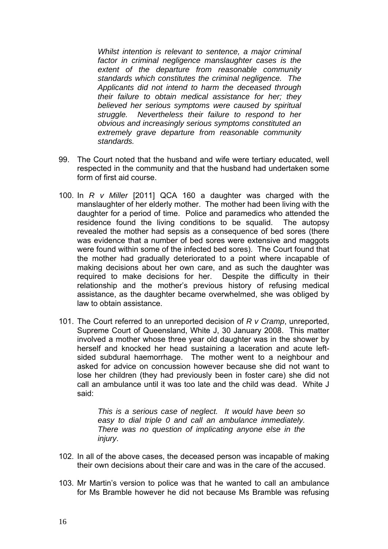*Whilst intention is relevant to sentence, a major criminal factor in criminal negligence manslaughter cases is the extent of the departure from reasonable community standards which constitutes the criminal negligence. The Applicants did not intend to harm the deceased through their failure to obtain medical assistance for her; they believed her serious symptoms were caused by spiritual struggle. Nevertheless their failure to respond to her obvious and increasingly serious symptoms constituted an extremely grave departure from reasonable community standards.* 

- 99. The Court noted that the husband and wife were tertiary educated, well respected in the community and that the husband had undertaken some form of first aid course.
- 100. In *R v Miller* [2011] QCA 160 a daughter was charged with the manslaughter of her elderly mother. The mother had been living with the daughter for a period of time. Police and paramedics who attended the residence found the living conditions to be squalid. The autopsy revealed the mother had sepsis as a consequence of bed sores (there was evidence that a number of bed sores were extensive and maggots were found within some of the infected bed sores). The Court found that the mother had gradually deteriorated to a point where incapable of making decisions about her own care, and as such the daughter was required to make decisions for her. Despite the difficulty in their relationship and the mother's previous history of refusing medical assistance, as the daughter became overwhelmed, she was obliged by law to obtain assistance.
- 101. The Court referred to an unreported decision of *R v Cramp*, unreported, Supreme Court of Queensland, White J, 30 January 2008. This matter involved a mother whose three year old daughter was in the shower by herself and knocked her head sustaining a laceration and acute leftsided subdural haemorrhage. The mother went to a neighbour and asked for advice on concussion however because she did not want to lose her children (they had previously been in foster care) she did not call an ambulance until it was too late and the child was dead. White J said:

*This is a serious case of neglect. It would have been so easy to dial triple 0 and call an ambulance immediately. There was no question of implicating anyone else in the injury*.

- 102. In all of the above cases, the deceased person was incapable of making their own decisions about their care and was in the care of the accused.
- 103. Mr Martin's version to police was that he wanted to call an ambulance for Ms Bramble however he did not because Ms Bramble was refusing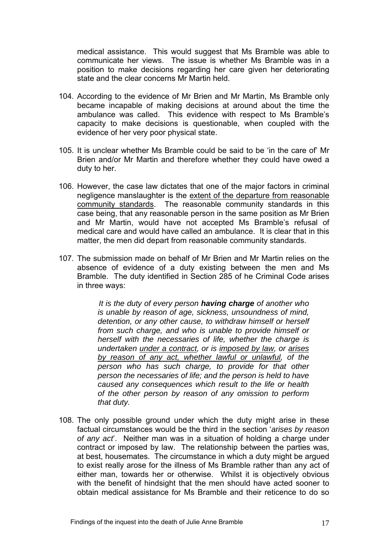medical assistance. This would suggest that Ms Bramble was able to communicate her views. The issue is whether Ms Bramble was in a position to make decisions regarding her care given her deteriorating state and the clear concerns Mr Martin held.

- 104. According to the evidence of Mr Brien and Mr Martin, Ms Bramble only became incapable of making decisions at around about the time the ambulance was called. This evidence with respect to Ms Bramble's capacity to make decisions is questionable, when coupled with the evidence of her very poor physical state.
- 105. It is unclear whether Ms Bramble could be said to be 'in the care of' Mr Brien and/or Mr Martin and therefore whether they could have owed a duty to her.
- 106. However, the case law dictates that one of the major factors in criminal negligence manslaughter is the extent of the departure from reasonable community standards. The reasonable community standards in this case being, that any reasonable person in the same position as Mr Brien and Mr Martin, would have not accepted Ms Bramble's refusal of medical care and would have called an ambulance. It is clear that in this matter, the men did depart from reasonable community standards.
- 107. The submission made on behalf of Mr Brien and Mr Martin relies on the absence of evidence of a duty existing between the men and Ms Bramble. The duty identified in Section 285 of he Criminal Code arises in three ways:

*It is the duty of every person having charge of another who is unable by reason of age, sickness, unsoundness of mind, detention, or any other cause, to withdraw himself or herself from such charge, and who is unable to provide himself or herself with the necessaries of life, whether the charge is undertaken under a contract, or is imposed by law, or arises by reason of any act, whether lawful or unlawful, of the person who has such charge, to provide for that other person the necessaries of life; and the person is held to have caused any consequences which result to the life or health of the other person by reason of any omission to perform that duty.*

108. The only possible ground under which the duty might arise in these factual circumstances would be the third in the section '*arises by reason of any act*'. Neither man was in a situation of holding a charge under contract or imposed by law. The relationship between the parties was, at best, housemates. The circumstance in which a duty might be argued to exist really arose for the illness of Ms Bramble rather than any act of either man, towards her or otherwise. Whilst it is objectively obvious with the benefit of hindsight that the men should have acted sooner to obtain medical assistance for Ms Bramble and their reticence to do so